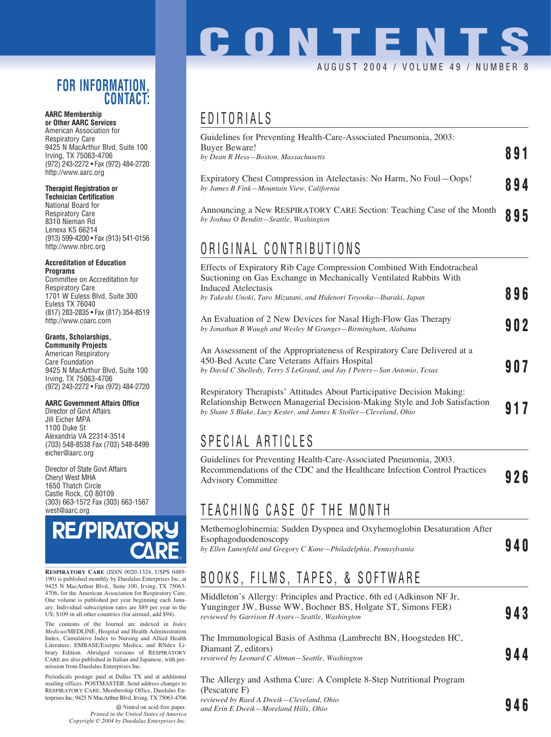#### **FOR INFORMATION, CONTACT:**

#### **AARC Membership or Other AARC Services**

American Association for Respiratory Care 9425 N MacArthur Blvd, Suite 100 Irving, TX 75063-4706 (972) 243-2272 • Fax (972) 484-2720 http://www.aarc.org

#### **Therapist Registration or**

**Technician Certification** National Board for Respiratory Care 8310 Nieman Rd Lenexa KS 66214 (913) 599-4200 • Fax (913) 541-0156 http://www.nbrc.org

#### **Accreditation of Education Programs**

Committee on Accreditation for Respiratory Care 1701 W Euless Blvd, Suite 300 Euless TX 76040 (817) 283-2835 • Fax (817) 354-8519 http://www.coarc.com

#### **Grants, Scholarships,**

**Community Projects** American Respiratory Care Foundation 9425 N MacArthur Blvd, Suite 100 Irving, TX 75063-4706 (972) 243-2272 • Fax (972) 484-2720

#### **AARC Government Affairs Office**

Director of Govt Affairs Jill Eicher MPA 1100 Duke St Alexandria VA 22314-3514 (703) 548-8538 Fax (703) 548-8499 eicher@aarc.org

Director of State Govt Affairs Cheryl West MHA 1650 Thatch Circle Castle Rock, CO 80109 (303) 663-1572 Fax (303) 663-1567 west@aarc.org



**RESPIRATORY CARE** (ISSN 0020-1324, USPS 0489- 190) is published monthly by Daedalus Enterprises Inc, at 9425 N MacArthur Blvd., Suite 100, Irving, TX 75063- 4706, for the American Association for Respiratory Care. One volume is published per year beginning each January. Individual subscription rates are \$89 per year in the US; \$109 in all other countries (for airmail, add \$94).

The contents of the Journal are indexed in *Index Medicus*/MEDLINE, Hospital and Health Administration Index, Cumulative Index to Nursing and Allied Health Literature, EMBASE/Exerpta Medica, and RNdex Library Edition. Abridged versions of RESPIRATORY CARE are also published in Italian and Japanese, with permission from Daedalus Enterprises Inc.

Periodicals postage paid at Dallas TX and at additional mailing offices. POSTMASTER: Send address changes to RESPIRATORY CARE, Membership Office, Daedalus Enterprises Inc, 9425 N MacArthur Blvd, Irving, TX 75063-4706

> Printed on acid-free paper. *Printed in the United States of America Copyright © 2004 by Daedalus Enterprises Inc.*

# **CONTENT** AUGUST 2004 / VOLUME 49 / NUMBER

### EDITORIALS

| 891 |
|-----|
| 894 |
| 895 |
|     |
|     |
| 896 |
| 902 |
|     |
|     |

Respiratory Therapists' Attitudes About Participative Decision Making: Relationship Between Managerial Decision-Making Style and Job Satisfaction by Shane S Blake, Lucy Kester, and James *K* Stoller—Cleveland, Ohio<sup>1</sup> Decay and Solution **917** 

## SPECIAL ARTICLES

Guidelines for Preventing Health-Care-Associated Pneumonia, 2003. Recommendations of the CDC and the Healthcare Infection Control Practices Advisory Committee **926** 

## TEACHING CASE OF THE MONTH

Methemoglobinemia: Sudden Dyspnea and Oxyhemoglobin Desaturation After Esophagoduodenoscopy *by Ellen Lunenfeld and Gregory C Kane—Philadelphia, Pennsylvania* **940**

## BOOKS, FILMS, TAPES, & SOFTWARE

| Middleton's Allergy: Principles and Practice, 6th ed (Adkinson NF Jr,<br>Yunginger JW, Busse WW, Bochner BS, Holgate ST, Simons FER)<br>reviewed by Garrison H Ayars-Seattle, Washington | 943 |
|------------------------------------------------------------------------------------------------------------------------------------------------------------------------------------------|-----|
| The Immunological Basis of Asthma (Lambrecht BN, Hoogsteden HC,<br>Diamant Z, editors)<br>reviewed by Leonard C Altman-Seattle, Washington                                               | 944 |
| The Allergy and Asthma Cure: A Complete 8-Step Nutritional Program<br>(Pescatore F)<br>reviewed by Raed A Dweik-Cleveland, Ohio<br>and Erin E Dweik-Moreland Hills, Ohio                 |     |